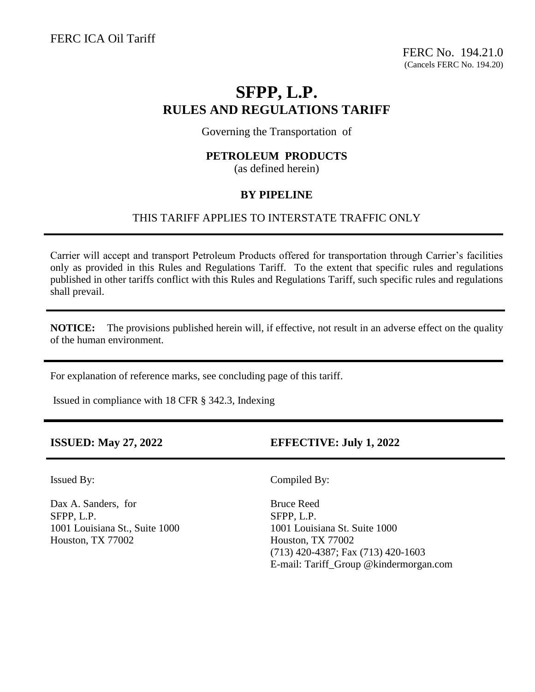FERC No. 194.21.0 (Cancels FERC No. 194.20)

# **SFPP, L.P. RULES AND REGULATIONS TARIFF**

Governing the Transportation of

# **PETROLEUM PRODUCTS**

(as defined herein)

# **BY PIPELINE**

# THIS TARIFF APPLIES TO INTERSTATE TRAFFIC ONLY

Carrier will accept and transport Petroleum Products offered for transportation through Carrier's facilities only as provided in this Rules and Regulations Tariff. To the extent that specific rules and regulations published in other tariffs conflict with this Rules and Regulations Tariff, such specific rules and regulations shall prevail.

**NOTICE:** The provisions published herein will, if effective, not result in an adverse effect on the quality of the human environment.

For explanation of reference marks, see concluding page of this tariff.

Issued in compliance with 18 CFR § 342.3, Indexing

**ISSUED: May 27, 2022 EFFECTIVE: July 1, 2022**

I

Dax A. Sanders, for Bruce Reed SFPP, L.P. SFPP, L.P. 1001 Louisiana St., Suite 1000 1001 Louisiana St. Suite 1000 Houston, TX 77002 Houston, TX 77002

Issued By: Compiled By:

(713) 420-4387; Fax (713) 420-1603 E-mail: Tariff\_Group @kindermorgan.com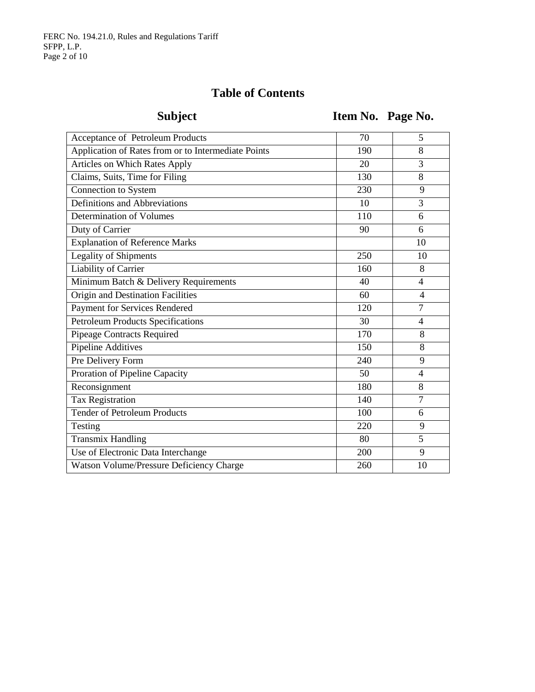# **Table of Contents**

Subject **Item No. Page No.** 

| Acceptance of Petroleum Products                    | 70  | 5              |
|-----------------------------------------------------|-----|----------------|
| Application of Rates from or to Intermediate Points | 190 | 8              |
| Articles on Which Rates Apply                       | 20  | 3              |
| Claims, Suits, Time for Filing                      | 130 | 8              |
| Connection to System                                | 230 | 9              |
| Definitions and Abbreviations                       | 10  | 3              |
| Determination of Volumes                            | 110 | 6              |
| Duty of Carrier                                     | 90  | 6              |
| <b>Explanation of Reference Marks</b>               |     | 10             |
| Legality of Shipments                               | 250 | 10             |
| Liability of Carrier                                | 160 | 8              |
| Minimum Batch & Delivery Requirements               | 40  | 4              |
| Origin and Destination Facilities                   | 60  | $\overline{4}$ |
| Payment for Services Rendered                       | 120 | $\overline{7}$ |
| <b>Petroleum Products Specifications</b>            | 30  | $\overline{4}$ |
| Pipeage Contracts Required                          | 170 | 8              |
| <b>Pipeline Additives</b>                           | 150 | 8              |
| Pre Delivery Form                                   | 240 | 9              |
| Proration of Pipeline Capacity                      | 50  | $\overline{4}$ |
| Reconsignment                                       | 180 | 8              |
| Tax Registration                                    | 140 | $\overline{7}$ |
| <b>Tender of Petroleum Products</b>                 | 100 | 6              |
| Testing                                             | 220 | 9              |
| <b>Transmix Handling</b>                            | 80  | 5              |
| Use of Electronic Data Interchange                  | 200 | 9              |
| Watson Volume/Pressure Deficiency Charge            | 260 | 10             |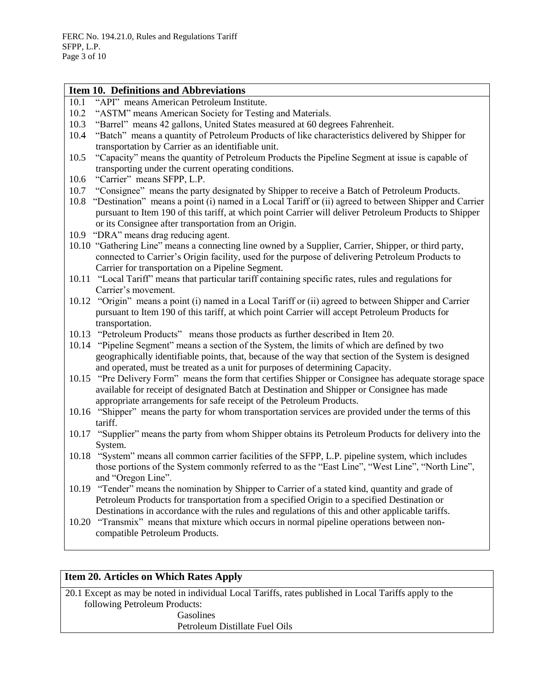|       | Item 10. Definitions and Abbreviations                                                                                                                                                                                                                                                 |
|-------|----------------------------------------------------------------------------------------------------------------------------------------------------------------------------------------------------------------------------------------------------------------------------------------|
| 10.1  | "API" means American Petroleum Institute.                                                                                                                                                                                                                                              |
| 10.2  | "ASTM" means American Society for Testing and Materials.                                                                                                                                                                                                                               |
| 10.3  | "Barrel" means 42 gallons, United States measured at 60 degrees Fahrenheit.                                                                                                                                                                                                            |
| 10.4  | "Batch" means a quantity of Petroleum Products of like characteristics delivered by Shipper for                                                                                                                                                                                        |
|       | transportation by Carrier as an identifiable unit.                                                                                                                                                                                                                                     |
| 10.5  | "Capacity" means the quantity of Petroleum Products the Pipeline Segment at issue is capable of<br>transporting under the current operating conditions.                                                                                                                                |
| 10.6  | "Carrier" means SFPP, L.P.                                                                                                                                                                                                                                                             |
| 10.7  | "Consignee" means the party designated by Shipper to receive a Batch of Petroleum Products.                                                                                                                                                                                            |
| 10.8  | "Destination" means a point (i) named in a Local Tariff or (ii) agreed to between Shipper and Carrier<br>pursuant to Item 190 of this tariff, at which point Carrier will deliver Petroleum Products to Shipper<br>or its Consignee after transportation from an Origin.               |
|       | 10.9 "DRA" means drag reducing agent.                                                                                                                                                                                                                                                  |
|       | 10.10 "Gathering Line" means a connecting line owned by a Supplier, Carrier, Shipper, or third party,<br>connected to Carrier's Origin facility, used for the purpose of delivering Petroleum Products to<br>Carrier for transportation on a Pipeline Segment.                         |
|       | 10.11 "Local Tariff" means that particular tariff containing specific rates, rules and regulations for<br>Carrier's movement.                                                                                                                                                          |
|       | 10.12 "Origin" means a point (i) named in a Local Tariff or (ii) agreed to between Shipper and Carrier<br>pursuant to Item 190 of this tariff, at which point Carrier will accept Petroleum Products for<br>transportation.                                                            |
|       | 10.13 "Petroleum Products" means those products as further described in Item 20.                                                                                                                                                                                                       |
|       | 10.14 "Pipeline Segment" means a section of the System, the limits of which are defined by two<br>geographically identifiable points, that, because of the way that section of the System is designed<br>and operated, must be treated as a unit for purposes of determining Capacity. |
| 10.15 | "Pre Delivery Form" means the form that certifies Shipper or Consignee has adequate storage space<br>available for receipt of designated Batch at Destination and Shipper or Consignee has made<br>appropriate arrangements for safe receipt of the Petroleum Products.                |
|       | 10.16 "Shipper" means the party for whom transportation services are provided under the terms of this<br>tariff.                                                                                                                                                                       |
|       | 10.17 "Supplier" means the party from whom Shipper obtains its Petroleum Products for delivery into the<br>System.                                                                                                                                                                     |
|       | 10.18 "System" means all common carrier facilities of the SFPP, L.P. pipeline system, which includes<br>those portions of the System commonly referred to as the "East Line", "West Line", "North Line",<br>and "Oregon Line".                                                         |
| 10.19 | "Tender" means the nomination by Shipper to Carrier of a stated kind, quantity and grade of<br>Petroleum Products for transportation from a specified Origin to a specified Destination or                                                                                             |
| 10.20 | Destinations in accordance with the rules and regulations of this and other applicable tariffs.<br>"Transmix" means that mixture which occurs in normal pipeline operations between non-                                                                                               |
|       | compatible Petroleum Products.                                                                                                                                                                                                                                                         |

# **Item 20. Articles on Which Rates Apply**

20.1 Except as may be noted in individual Local Tariffs, rates published in Local Tariffs apply to the following Petroleum Products:

Gasolines

Petroleum Distillate Fuel Oils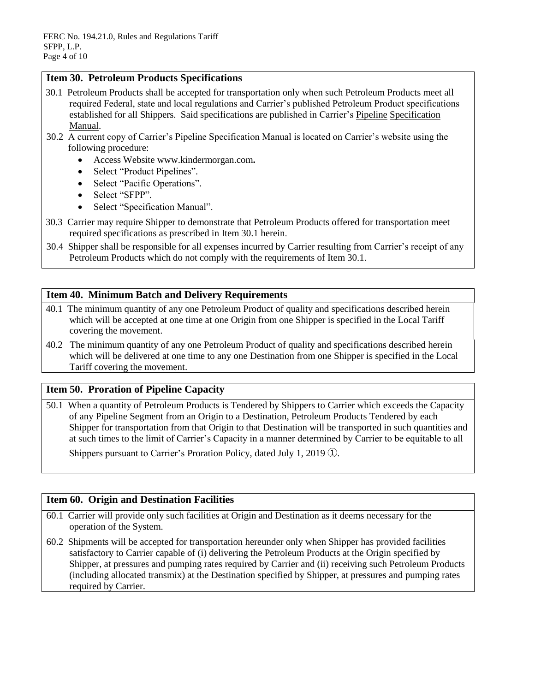# **Item 30. Petroleum Products Specifications**

- 30.1 Petroleum Products shall be accepted for transportation only when such Petroleum Products meet all required Federal, state and local regulations and Carrier's published Petroleum Product specifications established for all Shippers. Said specifications are published in Carrier's Pipeline Specification Manual.
- 30.2 A current copy of Carrier's Pipeline Specification Manual is located on Carrier's website using the following procedure:
	- Access Website [www.kindermorgan.com](http://www.kindermorgan.com/)**.**
	- Select "Product Pipelines".
	- Select "Pacific Operations".
	- Select "SFPP".
	- Select "Specification Manual".
- 30.3 Carrier may require Shipper to demonstrate that Petroleum Products offered for transportation meet required specifications as prescribed in Item 30.1 herein.
- 30.4 Shipper shall be responsible for all expenses incurred by Carrier resulting from Carrier's receipt of any Petroleum Products which do not comply with the requirements of Item 30.1.

# **Item 40. Minimum Batch and Delivery Requirements**

- 40.1 The minimum quantity of any one Petroleum Product of quality and specifications described herein which will be accepted at one time at one Origin from one Shipper is specified in the Local Tariff covering the movement.
- 40.2 The minimum quantity of any one Petroleum Product of quality and specifications described herein which will be delivered at one time to any one Destination from one Shipper is specified in the Local Tariff covering the movement.

# **Item 50. Proration of Pipeline Capacity**

50.1 When a quantity of Petroleum Products is Tendered by Shippers to Carrier which exceeds the Capacity of any Pipeline Segment from an Origin to a Destination, Petroleum Products Tendered by each Shipper for transportation from that Origin to that Destination will be transported in such quantities and at such times to the limit of Carrier's Capacity in a manner determined by Carrier to be equitable to all

Shippers pursuant to Carrier's Proration Policy, dated July 1, 2019 ①.

# **Item 60. Origin and Destination Facilities**

- 60.1 Carrier will provide only such facilities at Origin and Destination as it deems necessary for the operation of the System.
- 60.2 Shipments will be accepted for transportation hereunder only when Shipper has provided facilities satisfactory to Carrier capable of (i) delivering the Petroleum Products at the Origin specified by Shipper, at pressures and pumping rates required by Carrier and (ii) receiving such Petroleum Products (including allocated transmix) at the Destination specified by Shipper, at pressures and pumping rates required by Carrier.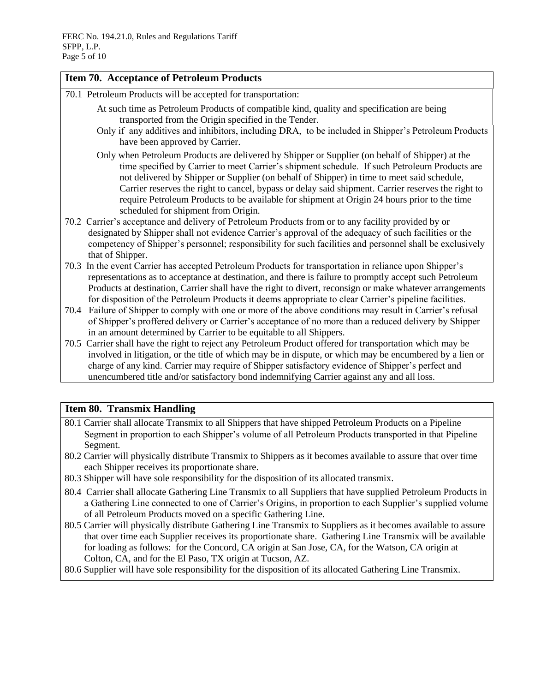### **Item 70. Acceptance of Petroleum Products**

- 70.1 Petroleum Products will be accepted for transportation:
	- At such time as Petroleum Products of compatible kind, quality and specification are being transported from the Origin specified in the Tender.
	- Only if any additives and inhibitors, including DRA, to be included in Shipper's Petroleum Products have been approved by Carrier.
	- Only when Petroleum Products are delivered by Shipper or Supplier (on behalf of Shipper) at the time specified by Carrier to meet Carrier's shipment schedule. If such Petroleum Products are not delivered by Shipper or Supplier (on behalf of Shipper) in time to meet said schedule, Carrier reserves the right to cancel, bypass or delay said shipment. Carrier reserves the right to require Petroleum Products to be available for shipment at Origin 24 hours prior to the time scheduled for shipment from Origin.
- 70.2 Carrier's acceptance and delivery of Petroleum Products from or to any facility provided by or designated by Shipper shall not evidence Carrier's approval of the adequacy of such facilities or the competency of Shipper's personnel; responsibility for such facilities and personnel shall be exclusively that of Shipper.
- 70.3 In the event Carrier has accepted Petroleum Products for transportation in reliance upon Shipper's representations as to acceptance at destination, and there is failure to promptly accept such Petroleum Products at destination, Carrier shall have the right to divert, reconsign or make whatever arrangements for disposition of the Petroleum Products it deems appropriate to clear Carrier's pipeline facilities.
- 70.4 Failure of Shipper to comply with one or more of the above conditions may result in Carrier's refusal of Shipper's proffered delivery or Carrier's acceptance of no more than a reduced delivery by Shipper in an amount determined by Carrier to be equitable to all Shippers.
- 70.5 Carrier shall have the right to reject any Petroleum Product offered for transportation which may be involved in litigation, or the title of which may be in dispute, or which may be encumbered by a lien or charge of any kind. Carrier may require of Shipper satisfactory evidence of Shipper's perfect and unencumbered title and/or satisfactory bond indemnifying Carrier against any and all loss.

# **Item 80. Transmix Handling**

- 80.1 Carrier shall allocate Transmix to all Shippers that have shipped Petroleum Products on a Pipeline Segment in proportion to each Shipper's volume of all Petroleum Products transported in that Pipeline Segment.
- 80.2 Carrier will physically distribute Transmix to Shippers as it becomes available to assure that over time each Shipper receives its proportionate share.
- 80.3 Shipper will have sole responsibility for the disposition of its allocated transmix.
- 80.4 Carrier shall allocate Gathering Line Transmix to all Suppliers that have supplied Petroleum Products in a Gathering Line connected to one of Carrier's Origins, in proportion to each Supplier's supplied volume of all Petroleum Products moved on a specific Gathering Line.
- 80.5 Carrier will physically distribute Gathering Line Transmix to Suppliers as it becomes available to assure that over time each Supplier receives its proportionate share. Gathering Line Transmix will be available for loading as follows: for the Concord, CA origin at San Jose, CA, for the Watson, CA origin at Colton, CA, and for the El Paso, TX origin at Tucson, AZ.
- 80.6 Supplier will have sole responsibility for the disposition of its allocated Gathering Line Transmix.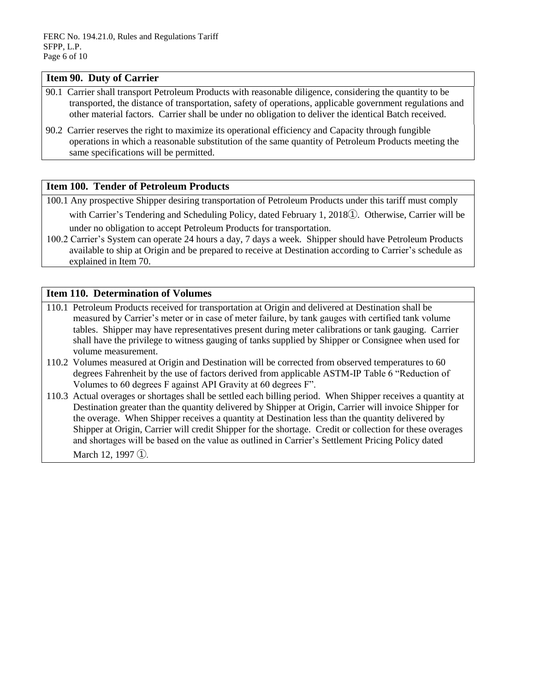#### **Item 90. Duty of Carrier**

- 90.1 Carrier shall transport Petroleum Products with reasonable diligence, considering the quantity to be transported, the distance of transportation, safety of operations, applicable government regulations and other material factors. Carrier shall be under no obligation to deliver the identical Batch received.
- 90.2 Carrier reserves the right to maximize its operational efficiency and Capacity through fungible operations in which a reasonable substitution of the same quantity of Petroleum Products meeting the same specifications will be permitted.

# **Item 100. Tender of Petroleum Products**

100.1 Any prospective Shipper desiring transportation of Petroleum Products under this tariff must comply

with Carrier's Tendering and Scheduling Policy, dated February 1, 2018①. Otherwise, Carrier will be under no obligation to accept Petroleum Products for transportation.

100.2 Carrier's System can operate 24 hours a day, 7 days a week. Shipper should have Petroleum Products available to ship at Origin and be prepared to receive at Destination according to Carrier's schedule as explained in Item 70.

# **Item 110. Determination of Volumes**

- 110.1 Petroleum Products received for transportation at Origin and delivered at Destination shall be measured by Carrier's meter or in case of meter failure, by tank gauges with certified tank volume tables. Shipper may have representatives present during meter calibrations or tank gauging. Carrier shall have the privilege to witness gauging of tanks supplied by Shipper or Consignee when used for volume measurement.
- 110.2 Volumes measured at Origin and Destination will be corrected from observed temperatures to 60 degrees Fahrenheit by the use of factors derived from applicable ASTM-IP Table 6 "Reduction of Volumes to 60 degrees F against API Gravity at 60 degrees F".
- 110.3 Actual overages or shortages shall be settled each billing period. When Shipper receives a quantity at Destination greater than the quantity delivered by Shipper at Origin, Carrier will invoice Shipper for the overage. When Shipper receives a quantity at Destination less than the quantity delivered by Shipper at Origin, Carrier will credit Shipper for the shortage. Credit or collection for these overages and shortages will be based on the value as outlined in Carrier's Settlement Pricing Policy dated March 12, 1997 (1).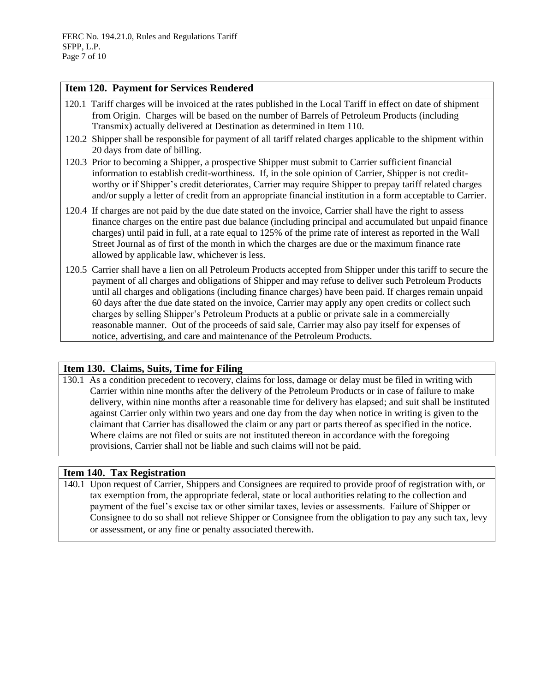### **Item 120. Payment for Services Rendered**

- 120.1 Tariff charges will be invoiced at the rates published in the Local Tariff in effect on date of shipment from Origin. Charges will be based on the number of Barrels of Petroleum Products (including Transmix) actually delivered at Destination as determined in Item 110.
- 120.2 Shipper shall be responsible for payment of all tariff related charges applicable to the shipment within 20 days from date of billing.
- 120.3 Prior to becoming a Shipper, a prospective Shipper must submit to Carrier sufficient financial information to establish credit-worthiness. If, in the sole opinion of Carrier, Shipper is not creditworthy or if Shipper's credit deteriorates, Carrier may require Shipper to prepay tariff related charges and/or supply a letter of credit from an appropriate financial institution in a form acceptable to Carrier.
- 120.4 If charges are not paid by the due date stated on the invoice, Carrier shall have the right to assess finance charges on the entire past due balance (including principal and accumulated but unpaid finance charges) until paid in full, at a rate equal to 125% of the prime rate of interest as reported in the Wall Street Journal as of first of the month in which the charges are due or the maximum finance rate allowed by applicable law, whichever is less*.*
- 120.5 Carrier shall have a lien on all Petroleum Products accepted from Shipper under this tariff to secure the payment of all charges and obligations of Shipper and may refuse to deliver such Petroleum Products until all charges and obligations (including finance charges) have been paid. If charges remain unpaid 60 days after the due date stated on the invoice, Carrier may apply any open credits or collect such charges by selling Shipper's Petroleum Products at a public or private sale in a commercially reasonable manner. Out of the proceeds of said sale, Carrier may also pay itself for expenses of notice, advertising, and care and maintenance of the Petroleum Products.

# **Item 130. Claims, Suits, Time for Filing**

130.1 As a condition precedent to recovery, claims for loss, damage or delay must be filed in writing with Carrier within nine months after the delivery of the Petroleum Products or in case of failure to make delivery, within nine months after a reasonable time for delivery has elapsed; and suit shall be instituted against Carrier only within two years and one day from the day when notice in writing is given to the claimant that Carrier has disallowed the claim or any part or parts thereof as specified in the notice. Where claims are not filed or suits are not instituted thereon in accordance with the foregoing provisions, Carrier shall not be liable and such claims will not be paid.

# **Item 140. Tax Registration**

140.1 Upon request of Carrier, Shippers and Consignees are required to provide proof of registration with, or tax exemption from, the appropriate federal, state or local authorities relating to the collection and payment of the fuel's excise tax or other similar taxes, levies or assessments. Failure of Shipper or Consignee to do so shall not relieve Shipper or Consignee from the obligation to pay any such tax, levy or assessment, or any fine or penalty associated therewith.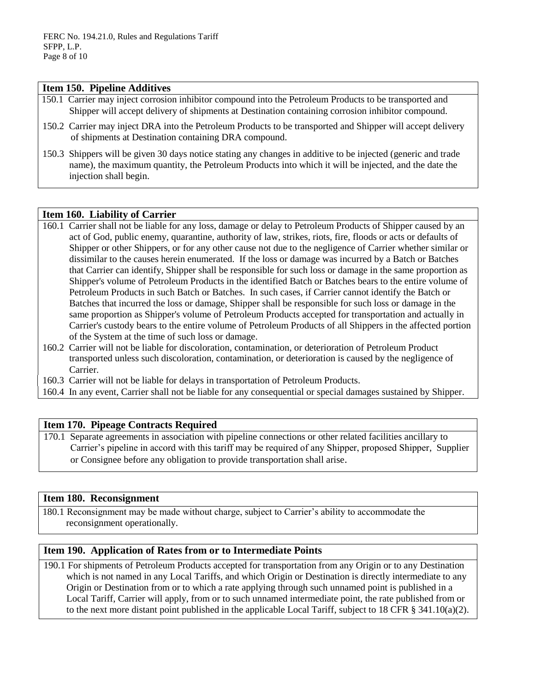#### **Item 150. Pipeline Additives**

- 150.1 Carrier may inject corrosion inhibitor compound into the Petroleum Products to be transported and Shipper will accept delivery of shipments at Destination containing corrosion inhibitor compound.
- 150.2 Carrier may inject DRA into the Petroleum Products to be transported and Shipper will accept delivery of shipments at Destination containing DRA compound.
- 150.3 Shippers will be given 30 days notice stating any changes in additive to be injected (generic and trade name), the maximum quantity, the Petroleum Products into which it will be injected, and the date the injection shall begin.

#### **Item 160. Liability of Carrier**

- 160.1 Carrier shall not be liable for any loss, damage or delay to Petroleum Products of Shipper caused by an act of God, public enemy, quarantine, authority of law, strikes, riots, fire, floods or acts or defaults of Shipper or other Shippers, or for any other cause not due to the negligence of Carrier whether similar or dissimilar to the causes herein enumerated. If the loss or damage was incurred by a Batch or Batches that Carrier can identify, Shipper shall be responsible for such loss or damage in the same proportion as Shipper's volume of Petroleum Products in the identified Batch or Batches bears to the entire volume of Petroleum Products in such Batch or Batches. In such cases, if Carrier cannot identify the Batch or Batches that incurred the loss or damage, Shipper shall be responsible for such loss or damage in the same proportion as Shipper's volume of Petroleum Products accepted for transportation and actually in Carrier's custody bears to the entire volume of Petroleum Products of all Shippers in the affected portion of the System at the time of such loss or damage.
- 160.2 Carrier will not be liable for discoloration, contamination, or deterioration of Petroleum Product transported unless such discoloration, contamination, or deterioration is caused by the negligence of Carrier.

160.3 Carrier will not be liable for delays in transportation of Petroleum Products.

160.4 In any event, Carrier shall not be liable for any consequential or special damages sustained by Shipper.

# **Item 170. Pipeage Contracts Required**

170.1 Separate agreements in association with pipeline connections or other related facilities ancillary to Carrier's pipeline in accord with this tariff may be required of any Shipper, proposed Shipper, Supplier or Consignee before any obligation to provide transportation shall arise.

#### **Item 180. Reconsignment**

180.1 Reconsignment may be made without charge, subject to Carrier's ability to accommodate the reconsignment operationally.

# **Item 190. Application of Rates from or to Intermediate Points**

190.1 For shipments of Petroleum Products accepted for transportation from any Origin or to any Destination which is not named in any Local Tariffs, and which Origin or Destination is directly intermediate to any Origin or Destination from or to which a rate applying through such unnamed point is published in a Local Tariff, Carrier will apply, from or to such unnamed intermediate point, the rate published from or to the next more distant point published in the applicable Local Tariff, subject to 18 CFR § 341.10(a)(2).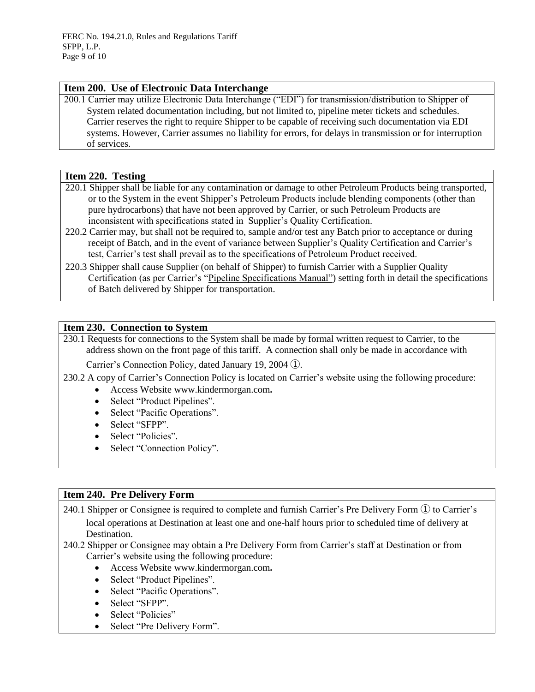#### **Item 200. Use of Electronic Data Interchange**

200.1 Carrier may utilize Electronic Data Interchange ("EDI") for transmission/distribution to Shipper of System related documentation including, but not limited to, pipeline meter tickets and schedules. Carrier reserves the right to require Shipper to be capable of receiving such documentation via EDI systems. However, Carrier assumes no liability for errors, for delays in transmission or for interruption of services.

#### **Item 220. Testing**

- 220.1 Shipper shall be liable for any contamination or damage to other Petroleum Products being transported, or to the System in the event Shipper's Petroleum Products include blending components (other than pure hydrocarbons) that have not been approved by Carrier, or such Petroleum Products are inconsistent with specifications stated in Supplier's Quality Certification.
- 220.2 Carrier may, but shall not be required to, sample and/or test any Batch prior to acceptance or during receipt of Batch, and in the event of variance between Supplier's Quality Certification and Carrier's test, Carrier's test shall prevail as to the specifications of Petroleum Product received.
- 220.3 Shipper shall cause Supplier (on behalf of Shipper) to furnish Carrier with a Supplier Quality Certification (as per Carrier's "Pipeline Specifications Manual") setting forth in detail the specifications of Batch delivered by Shipper for transportation.

# **Item 230. Connection to System**

230.1 Requests for connections to the System shall be made by formal written request to Carrier, to the address shown on the front page of this tariff. A connection shall only be made in accordance with

Carrier's Connection Policy, dated January 19, 2004 ①.

230.2 A copy of Carrier's Connection Policy is located on Carrier's website using the following procedure:

- Access Website [www.kindermorgan.com](http://www.kindermorgan.com/)**.**
- Select "Product Pipelines".
- Select "Pacific Operations".
- Select "SFPP".
- Select "Policies".
- Select "Connection Policy".

# **Item 240. Pre Delivery Form**

240.1 Shipper or Consignee is required to complete and furnish Carrier's Pre Delivery Form ① to Carrier's local operations at Destination at least one and one-half hours prior to scheduled time of delivery at Destination.

- 240.2 Shipper or Consignee may obtain a Pre Delivery Form from Carrier's staff at Destination or from Carrier's website using the following procedure:
	- Access Website [www.kindermorgan.com](http://www.kindermorgan.com/)**.**
	- Select "Product Pipelines".
	- Select "Pacific Operations".
	- Select "SFPP".
	- Select "Policies"
	- Select "Pre Delivery Form".